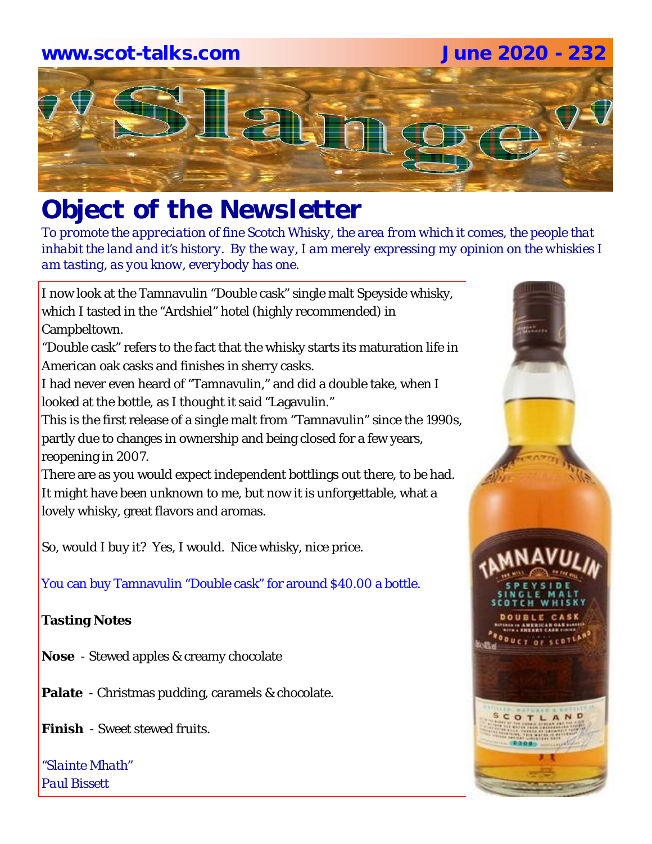### **www.scot-talks.com June 2020 - 232**



# *Object of the Newsletter*

*To promote the appreciation of fine Scotch Whisky, the area from which it comes, the people that inhabit the land and it's history. By the way, I am merely expressing my opinion on the whiskies I am tasting, as you know, everybody has one.* 

I now look at the Tamnavulin "Double cask" single malt Speyside whisky, which I tasted in the "Ardshiel" hotel (highly recommended) in Campbeltown.

"Double cask" refers to the fact that the whisky starts its maturation life in American oak casks and finishes in sherry casks.

I had never even heard of "Tamnavulin," and did a double take, when I looked at the bottle, as I thought it said "Lagavulin."

This is the first release of a single malt from "Tamnavulin" since the 1990s, partly due to changes in ownership and being closed for a few years, reopening in 2007.

There are as you would expect independent bottlings out there, to be had. It might have been unknown to me, but now it is unforgettable, what a lovely whisky, great flavors and aromas.

So, would I buy it? Yes, I would. Nice whisky, nice price.

You can buy Tamnavulin "Double cask" for around \$40.00 a bottle.

#### **Tasting Notes**

**Nose** - Stewed apples & creamy chocolate

**Palate** - Christmas pudding, caramels & chocolate.

**Finish** - Sweet stewed fruits.

*"Slainte Mhath" Paul Bissett*

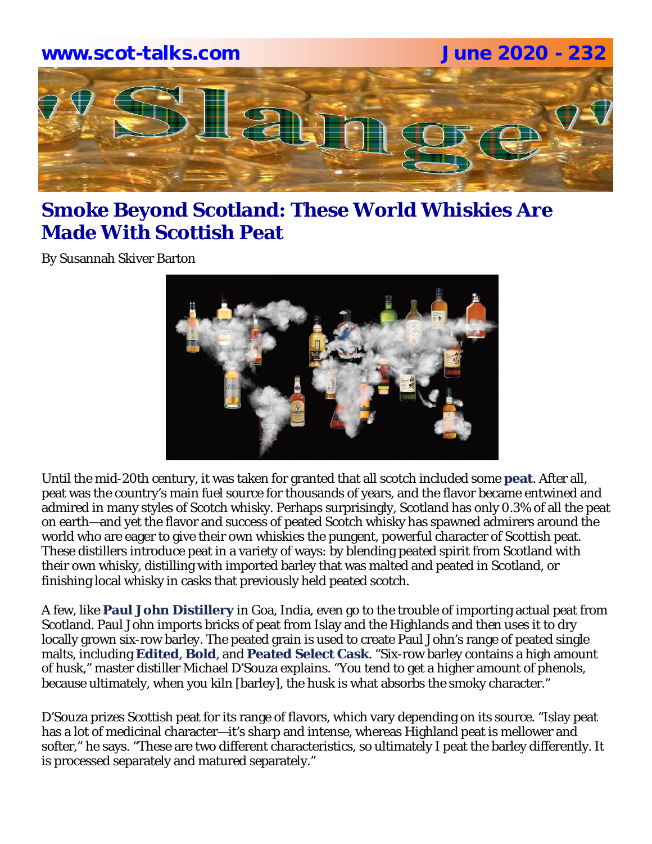

### **Smoke Beyond Scotland: These World Whiskies Are Made With Scottish Peat**

By Susannah Skiver Barton



Until the mid-20th century, it was taken for granted that all scotch included some **peat**. After all, peat was the country's main fuel source for thousands of years, and the flavor became entwined and admired in many styles of Scotch whisky. Perhaps surprisingly, Scotland has only 0.3% of all the peat on earth—and yet the flavor and success of peated Scotch whisky has spawned admirers around the world who are eager to give their own whiskies the pungent, powerful character of Scottish peat. These distillers introduce peat in a variety of ways: by blending peated spirit from Scotland with their own whisky, distilling with imported barley that was malted and peated in Scotland, or finishing local whisky in casks that previously held peated scotch.

A few, like **Paul John Distillery** in Goa, India, even go to the trouble of importing actual peat from Scotland. Paul John imports bricks of peat from Islay and the Highlands and then uses it to dry locally grown six-row barley. The peated grain is used to create Paul John's range of peated single malts, including **Edited**, **Bold**, and **Peated Select Cask**. "Six-row barley contains a high amount of husk," master distiller Michael D'Souza explains. "You tend to get a higher amount of phenols, because ultimately, when you kiln [barley], the husk is what absorbs the smoky character."

D'Souza prizes Scottish peat for its range of flavors, which vary depending on its source. "Islay peat has a lot of medicinal character—it's sharp and intense, whereas Highland peat is mellower and softer," he says. "These are two different characteristics, so ultimately I peat the barley differently. It is processed separately and matured separately."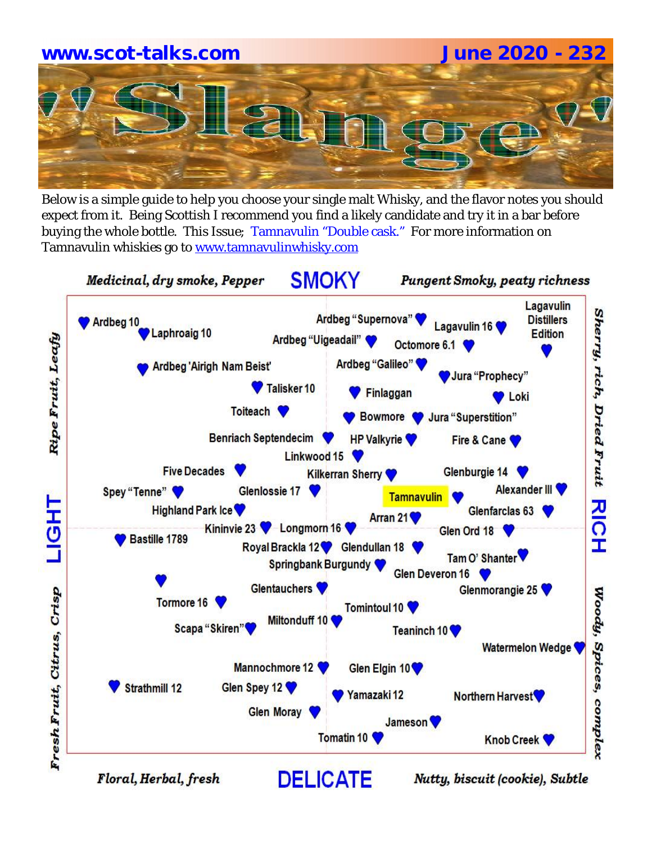

Below is a simple guide to help you choose your single malt Whisky, and the flavor notes you should expect from it. Being Scottish I recommend you find a likely candidate and try it in a bar before buying the whole bottle. This Issue; Tamnavulin "Double cask." For more information on Tamnavulin whiskies go to www.tamnavulinwhisky.com

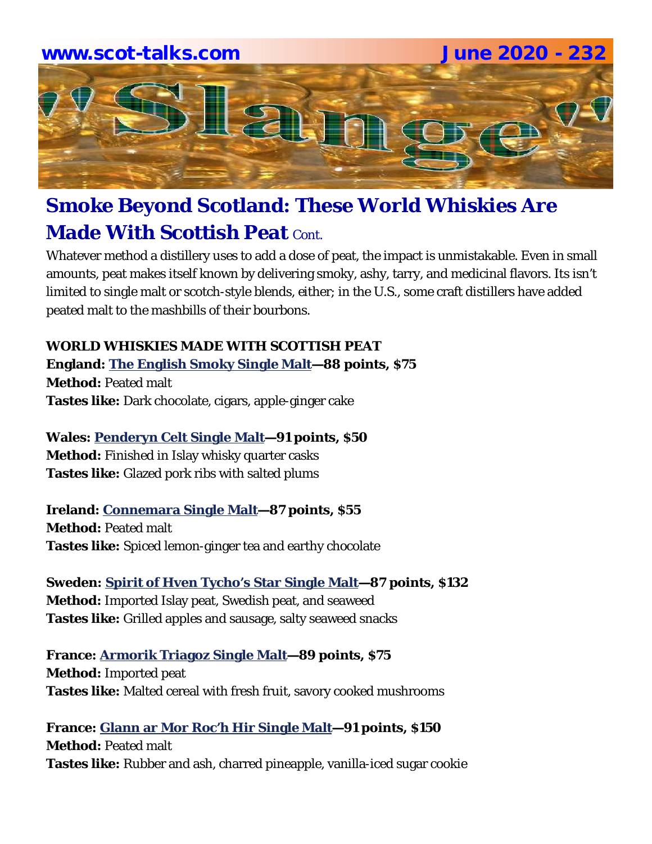

## **Smoke Beyond Scotland: These World Whiskies Are Made With Scottish Peat Cont.**

Whatever method a distillery uses to add a dose of peat, the impact is unmistakable. Even in small amounts, peat makes itself known by delivering smoky, ashy, tarry, and medicinal flavors. Its isn't limited to single malt or scotch-style blends, either; in the U.S., some craft distillers have added peated malt to the mashbills of their bourbons.

#### **WORLD WHISKIES MADE WITH SCOTTISH PEAT England: The English Smoky Single Malt—88 points, \$75 Method:** Peated malt

**Tastes like:** Dark chocolate, cigars, apple-ginger cake

#### **Wales: Penderyn Celt Single Malt—91 points, \$50**

**Method:** Finished in Islay whisky quarter casks **Tastes like:** Glazed pork ribs with salted plums

### **Ireland: Connemara Single Malt—87 points, \$55**

**Method:** Peated malt **Tastes like:** Spiced lemon-ginger tea and earthy chocolate

**Sweden: Spirit of Hven Tycho's Star Single Malt—87 points, \$132 Method:** Imported Islay peat, Swedish peat, and seaweed **Tastes like:** Grilled apples and sausage, salty seaweed snacks

**France: Armorik Triagoz Single Malt—89 points, \$75 Method:** Imported peat **Tastes like:** Malted cereal with fresh fruit, savory cooked mushrooms

**France: Glann ar Mor Roc'h Hir Single Malt—91 points, \$150 Method:** Peated malt **Tastes like:** Rubber and ash, charred pineapple, vanilla-iced sugar cookie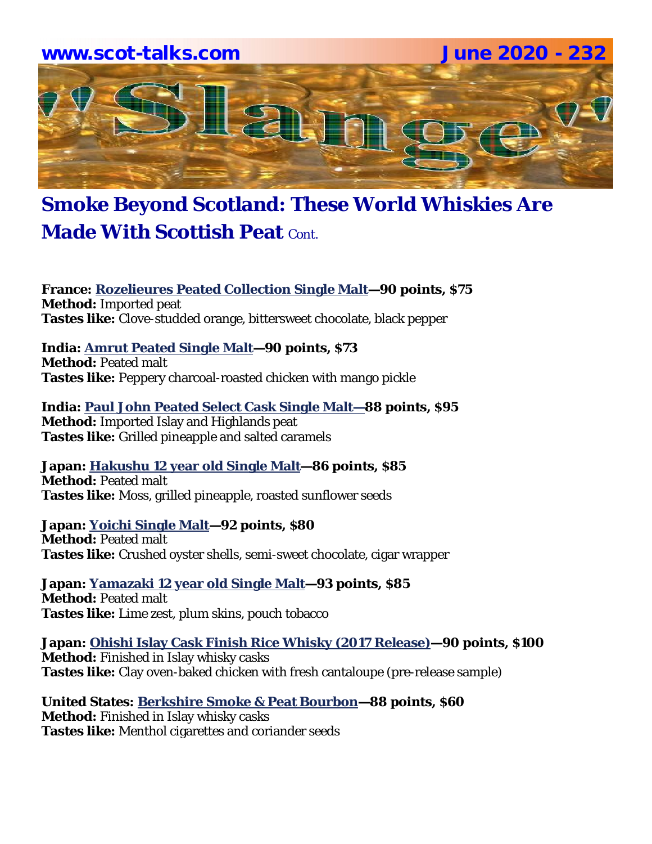

### **Smoke Beyond Scotland: These World Whiskies Are Made With Scottish Peat Contract**

**France: Rozelieures Peated Collection Single Malt—90 points, \$75 Method:** Imported peat **Tastes like:** Clove-studded orange, bittersweet chocolate, black pepper

#### **India: Amrut Peated Single Malt—90 points, \$73**

**Method:** Peated malt **Tastes like:** Peppery charcoal-roasted chicken with mango pickle

**India: Paul John Peated Select Cask Single Malt—88 points, \$95 Method:** Imported Islay and Highlands peat **Tastes like:** Grilled pineapple and salted caramels

**Japan: Hakushu 12 year old Single Malt—86 points, \$85 Method:** Peated malt **Tastes like:** Moss, grilled pineapple, roasted sunflower seeds

**Japan: Yoichi Single Malt—92 points, \$80 Method:** Peated malt **Tastes like:** Crushed oyster shells, semi-sweet chocolate, cigar wrapper

**Japan: Yamazaki 12 year old Single Malt—93 points, \$85 Method:** Peated malt **Tastes like:** Lime zest, plum skins, pouch tobacco

**Japan: Ohishi Islay Cask Finish Rice Whisky (2017 Release)—90 points, \$100 Method:** Finished in Islay whisky casks **Tastes like:** Clay oven-baked chicken with fresh cantaloupe (pre-release sample)

**United States: Berkshire Smoke & Peat Bourbon—88 points, \$60 Method:** Finished in Islay whisky casks **Tastes like:** Menthol cigarettes and coriander seeds